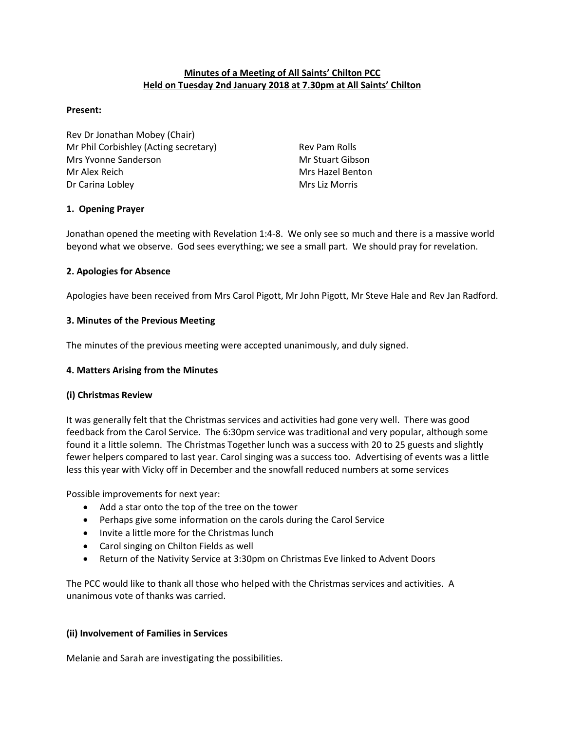# **Minutes of a Meeting of All Saints' Chilton PCC Held on Tuesday 2nd January 2018 at 7.30pm at All Saints' Chilton**

### **Present:**

Rev Dr Jonathan Mobey (Chair) Mr Phil Corbishley (Acting secretary) Rev Pam Rolls Mrs Yvonne Sanderson Mrs Warst Warst Warst Gibson Mr Alex Reich Mrs Hazel Benton Dr Carina Lobley **Mrs** Liz Morris Mrs Liz Morris

## **1. Opening Prayer**

Jonathan opened the meeting with Revelation 1:4-8. We only see so much and there is a massive world beyond what we observe. God sees everything; we see a small part. We should pray for revelation.

## **2. Apologies for Absence**

Apologies have been received from Mrs Carol Pigott, Mr John Pigott, Mr Steve Hale and Rev Jan Radford.

# **3. Minutes of the Previous Meeting**

The minutes of the previous meeting were accepted unanimously, and duly signed.

## **4. Matters Arising from the Minutes**

## **(i) Christmas Review**

It was generally felt that the Christmas services and activities had gone very well. There was good feedback from the Carol Service. The 6:30pm service was traditional and very popular, although some found it a little solemn. The Christmas Together lunch was a success with 20 to 25 guests and slightly fewer helpers compared to last year. Carol singing was a success too. Advertising of events was a little less this year with Vicky off in December and the snowfall reduced numbers at some services

Possible improvements for next year:

- Add a star onto the top of the tree on the tower
- Perhaps give some information on the carols during the Carol Service
- Invite a little more for the Christmas lunch
- Carol singing on Chilton Fields as well
- Return of the Nativity Service at 3:30pm on Christmas Eve linked to Advent Doors

The PCC would like to thank all those who helped with the Christmas services and activities. A unanimous vote of thanks was carried.

## **(ii) Involvement of Families in Services**

Melanie and Sarah are investigating the possibilities.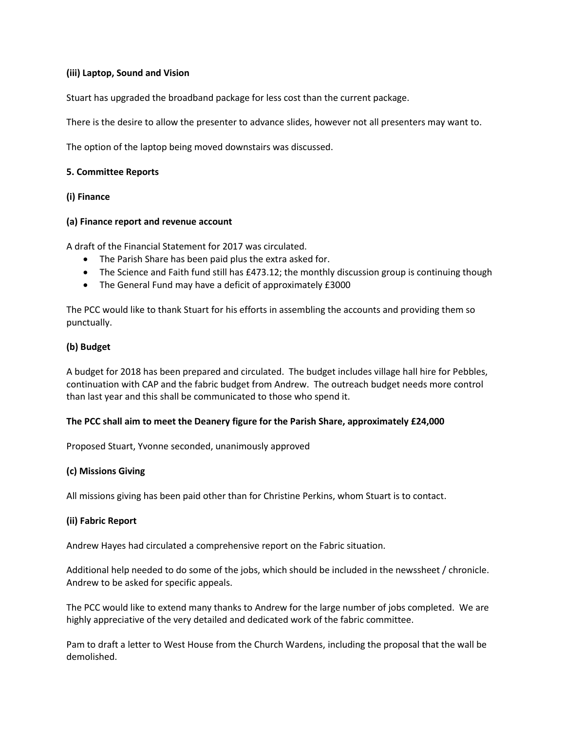## **(iii) Laptop, Sound and Vision**

Stuart has upgraded the broadband package for less cost than the current package.

There is the desire to allow the presenter to advance slides, however not all presenters may want to.

The option of the laptop being moved downstairs was discussed.

#### **5. Committee Reports**

#### **(i) Finance**

#### **(a) Finance report and revenue account**

A draft of the Financial Statement for 2017 was circulated.

- The Parish Share has been paid plus the extra asked for.
- The Science and Faith fund still has £473.12; the monthly discussion group is continuing though
- The General Fund may have a deficit of approximately £3000

The PCC would like to thank Stuart for his efforts in assembling the accounts and providing them so punctually.

### **(b) Budget**

A budget for 2018 has been prepared and circulated. The budget includes village hall hire for Pebbles, continuation with CAP and the fabric budget from Andrew. The outreach budget needs more control than last year and this shall be communicated to those who spend it.

## **The PCC shall aim to meet the Deanery figure for the Parish Share, approximately £24,000**

Proposed Stuart, Yvonne seconded, unanimously approved

#### **(c) Missions Giving**

All missions giving has been paid other than for Christine Perkins, whom Stuart is to contact.

## **(ii) Fabric Report**

Andrew Hayes had circulated a comprehensive report on the Fabric situation.

Additional help needed to do some of the jobs, which should be included in the newssheet / chronicle. Andrew to be asked for specific appeals.

The PCC would like to extend many thanks to Andrew for the large number of jobs completed. We are highly appreciative of the very detailed and dedicated work of the fabric committee.

Pam to draft a letter to West House from the Church Wardens, including the proposal that the wall be demolished.